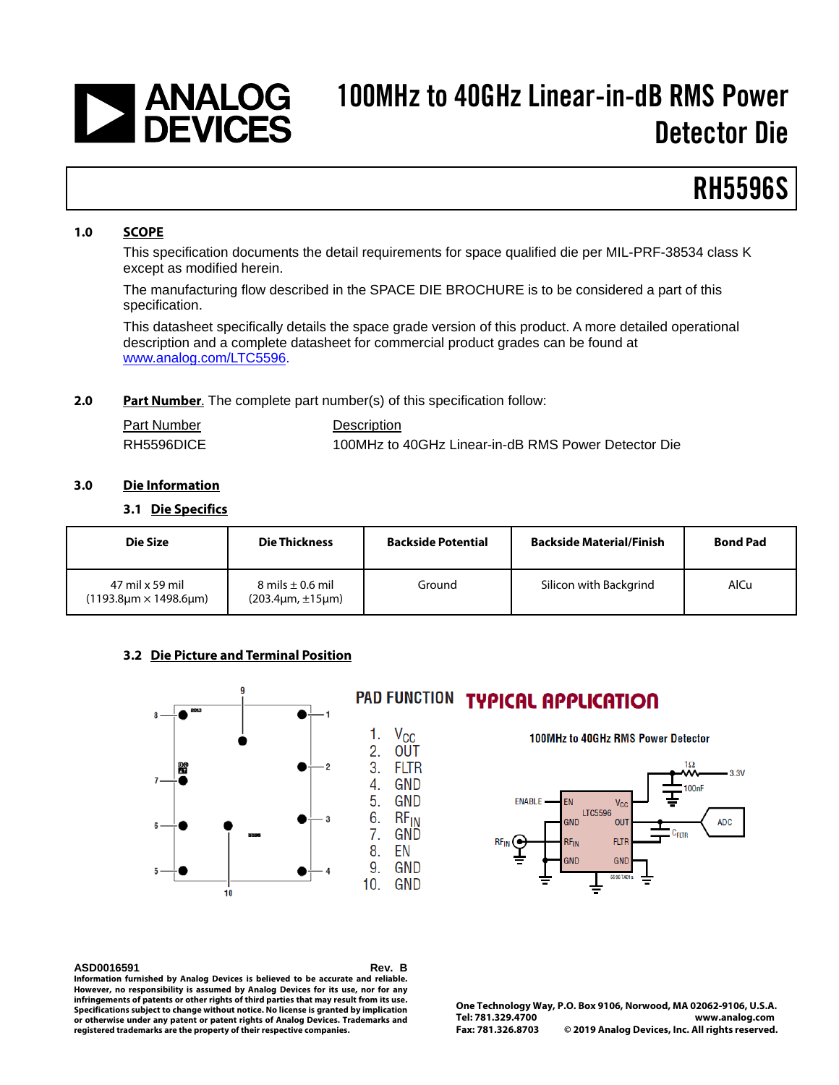## | ANALOG<br>| DEVICES 100MHz to 40GHz Linear-in-dB RMS Power Detector Die

# RH5596S

#### **1.0 SCOPE**

This specification documents the detail requirements for space qualified die per MIL-PRF-38534 class K except as modified herein.

The manufacturing flow described in the SPACE DIE BROCHURE is to be considered a part of this specification.

This datasheet specifically details the space grade version of this product. A more detailed operational description and a complete datasheet for commercial product grades can be found at www.analog.com/LTC5596.

#### **2.0 Part Number**. The complete part number(s) of this specification follow:

| <b>Part Number</b> | Description                                         |
|--------------------|-----------------------------------------------------|
| RH5596DICE         | 100MHz to 40GHz Linear-in-dB RMS Power Detector Die |

### **3.0 Die Information**

#### **3.1 Die Specifics**

| Die Size                                 | <b>Die Thickness</b>                                  | <b>Backside Potential</b> | <b>Backside Material/Finish</b> | <b>Bond Pad</b> |
|------------------------------------------|-------------------------------------------------------|---------------------------|---------------------------------|-----------------|
| 47 mil x 59 mil<br>(1193.8µm × 1498.6µm) | 8 mils $\pm$ 0.6 mil<br>$(203.4 \mu m, \pm 15 \mu m)$ | Ground                    | Silicon with Backgrind          | AlCu            |

### **3.2 Die Picture and Terminal Position**



# PAD FUNCTION TYPICAL APPLICATION

100MHz to 40GHz RMS Power Detector



**ASD0016591 Rev. B Information furnished by Analog Devices is believed to be accurate and reliable. However, no responsibility is assumed by Analog Devices for its use, nor for any infringements of patents or other rights of third parties that may result from its use. Specifications subject to change without notice. No license is granted by implication or otherwise under any patent or patent rights of Analog Devices. Trademarks and registered trademarks are the property of their respective companies.**

**One Technology Way, P.O. Box 9106, Norwood, MA 02062-9106, U.S.A. Tel: 781.329.4700 [www.analog.com](http://www.analog.com/) Fax: 781.326.8703 © 2019 Analog Devices, Inc. All rights reserved.**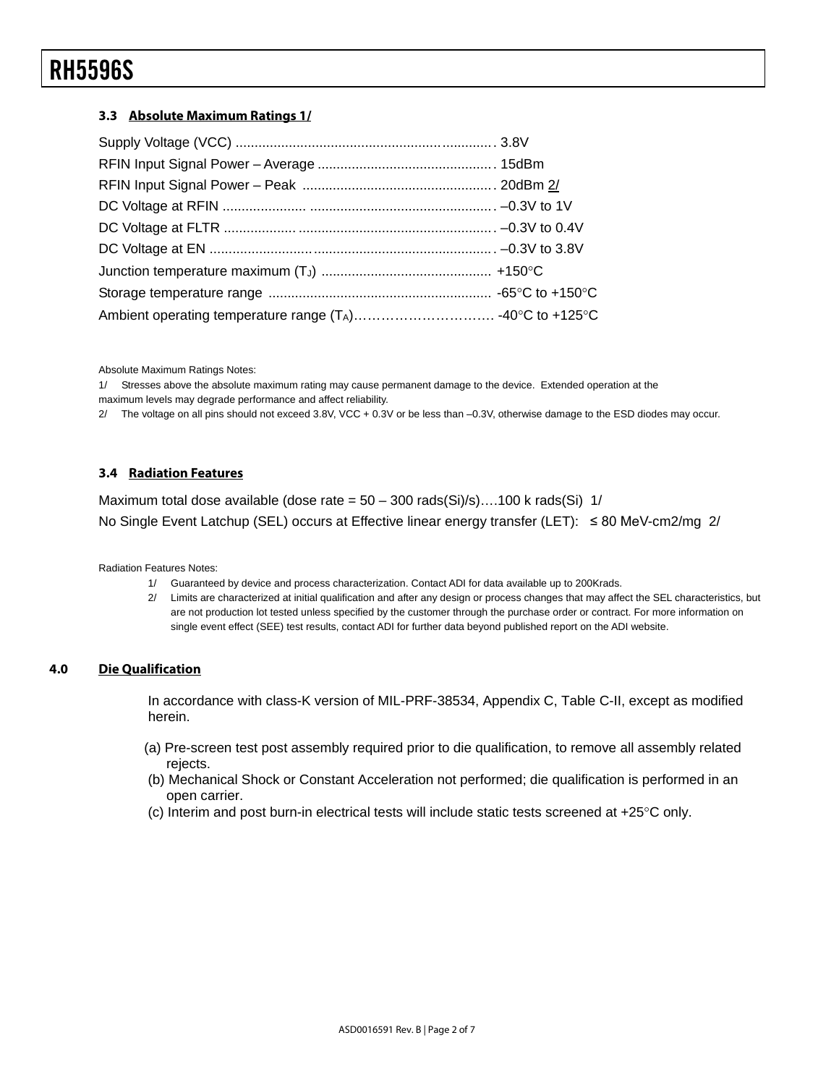### **3.3 Absolute Maximum Ratings 1/**

Absolute Maximum Ratings Notes:

1/ Stresses above the absolute maximum rating may cause permanent damage to the device. Extended operation at the maximum levels may degrade performance and affect reliability.

2/ The voltage on all pins should not exceed 3.8V, VCC + 0.3V or be less than –0.3V, otherwise damage to the ESD diodes may occur.

### **3.4 Radiation Features**

Maximum total dose available (dose rate =  $50 - 300$  rads(Si)/s)....100 k rads(Si) 1/ No Single Event Latchup (SEL) occurs at Effective linear energy transfer (LET): ≤ 80 MeV-cm2/mg 2/

Radiation Features Notes:

- 1/ Guaranteed by device and process characterization. Contact ADI for data available up to 200Krads.
- 2/ Limits are characterized at initial qualification and after any design or process changes that may affect the SEL characteristics, but are not production lot tested unless specified by the customer through the purchase order or contract. For more information on single event effect (SEE) test results, contact ADI for further data beyond published report on the ADI website.

### **4.0 Die Qualification**

In accordance with class-K version of MIL-PRF-38534, Appendix C, Table C-II, except as modified herein.

- (a) Pre-screen test post assembly required prior to die qualification, to remove all assembly related rejects.
- (b) Mechanical Shock or Constant Acceleration not performed; die qualification is performed in an open carrier.
- (c) Interim and post burn-in electrical tests will include static tests screened at +25°C only.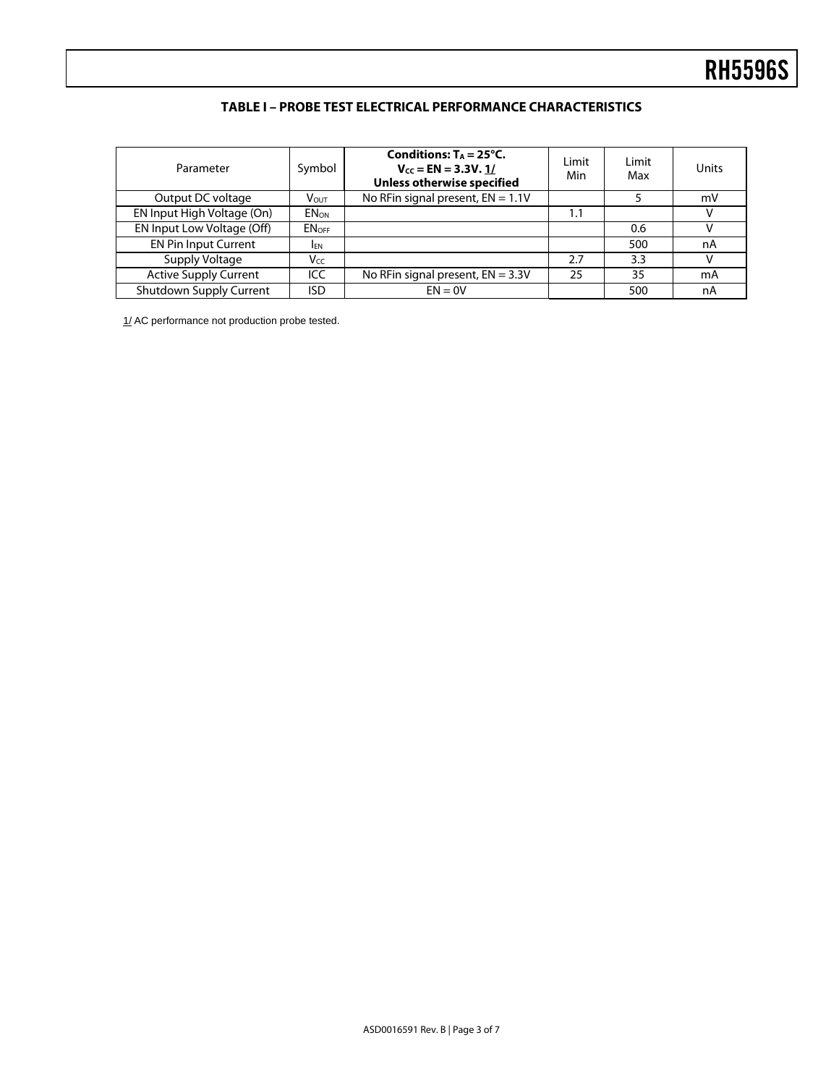## **TABLE I – PROBE TEST ELECTRICAL PERFORMANCE CHARACTERISTICS**

| Parameter                    | Symbol            | Conditions: $T_A = 25^{\circ}C$ .<br>$V_{CC} = EN = 3.3V.1/$<br><b>Unless otherwise specified</b> | Limit<br>Min | Limit<br>Max | Units |
|------------------------------|-------------------|---------------------------------------------------------------------------------------------------|--------------|--------------|-------|
| Output DC voltage            | V <sub>OUT</sub>  | No RFin signal present, $EN = 1.1V$                                                               |              |              | mV    |
| EN Input High Voltage (On)   | <b>ENON</b>       |                                                                                                   | 1.1          |              |       |
| EN Input Low Voltage (Off)   | EN <sub>OFF</sub> |                                                                                                   |              | 0.6          |       |
| <b>EN Pin Input Current</b>  | <b>IFN</b>        |                                                                                                   |              | 500          | nA    |
| Supply Voltage               | Vcc               |                                                                                                   | 2.7          | 3.3          | v     |
| <b>Active Supply Current</b> | ICC.              | No RFin signal present, $EN = 3.3V$                                                               | 25           | 35           | mA    |
| Shutdown Supply Current      | ISD               | $EN = 0V$                                                                                         |              | 500          | nA    |

1/ AC performance not production probe tested.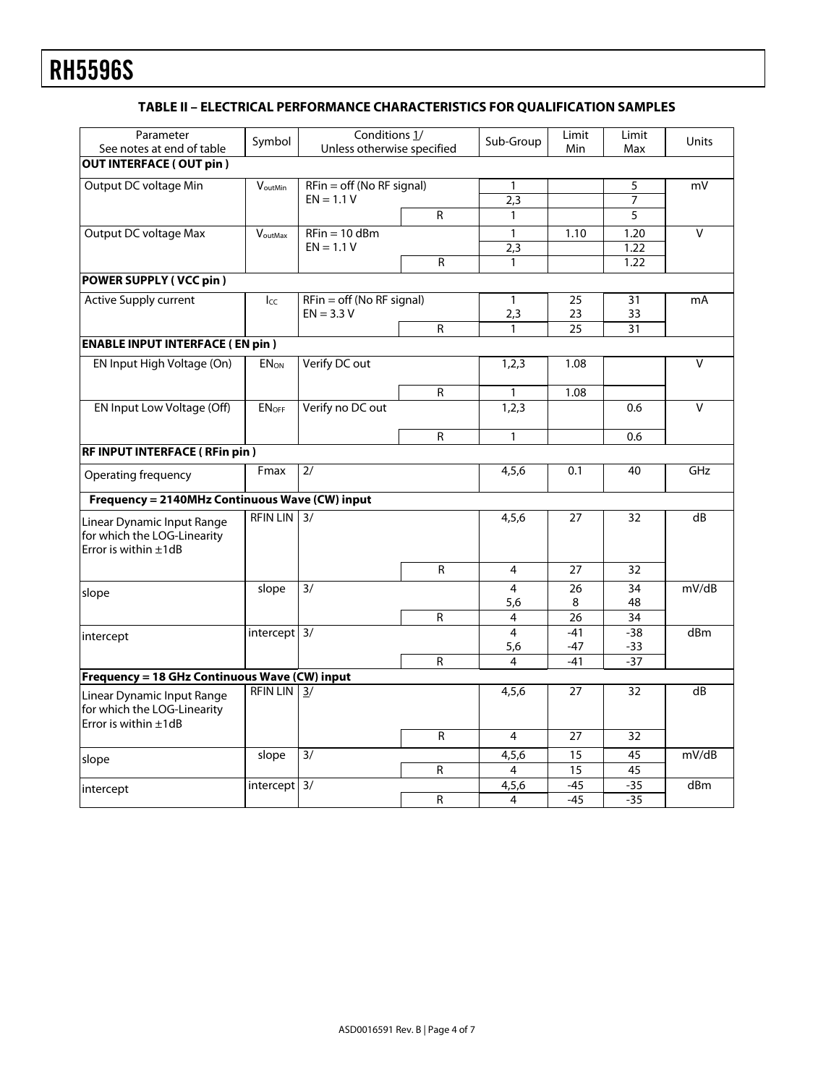## **TABLE II – ELECTRICAL PERFORMANCE CHARACTERISTICS FOR QUALIFICATION SAMPLES**

| Parameter                                                                               |                                | Conditions <sub>1/</sub>    |              |                | Limit           | Limit           |                         |
|-----------------------------------------------------------------------------------------|--------------------------------|-----------------------------|--------------|----------------|-----------------|-----------------|-------------------------|
| See notes at end of table                                                               | Symbol                         | Unless otherwise specified  |              | Sub-Group      | Min             | Max             | Units                   |
| <b>OUT INTERFACE (OUT pin)</b>                                                          |                                |                             |              |                |                 |                 |                         |
| Output DC voltage Min                                                                   | VoutMin                        | $RFin = off (No RF signal)$ |              | 1              |                 | 5               | mV                      |
|                                                                                         |                                | $EN = 1.1 V$                |              | 2,3            |                 | 7               |                         |
|                                                                                         |                                |                             | $\mathsf{R}$ | $\mathbf{1}$   |                 | 5               |                         |
| <b>Output DC voltage Max</b>                                                            | $\overline{V}_{\text{outMax}}$ | $RFin = 10$ dBm             |              | $\mathbf{1}$   | 1.10            | 1.20            | V                       |
|                                                                                         |                                | $EN = 1.1 V$                |              | 2,3            |                 | 1.22            |                         |
|                                                                                         |                                |                             | R            | $\mathbf{1}$   |                 | 1.22            |                         |
| <b>POWER SUPPLY (VCC pin)</b>                                                           |                                |                             |              |                |                 |                 |                         |
| <b>Active Supply current</b>                                                            | $I_{CC}$                       | $RFin = off (No RF signal)$ |              | $\mathbf{1}$   | 25              | 31              | mA                      |
|                                                                                         |                                | $EN = 3.3 V$                |              | 2,3            | 23              | 33              |                         |
|                                                                                         |                                |                             | $\mathsf{R}$ |                | $\overline{25}$ | 31              |                         |
| <b>ENABLE INPUT INTERFACE (EN pin)</b>                                                  |                                |                             |              |                |                 |                 |                         |
| EN Input High Voltage (On)                                                              | <b>ENON</b>                    | Verify DC out               |              | 1,2,3          | 1.08            |                 | $\overline{\mathsf{v}}$ |
|                                                                                         |                                |                             | R            | 1              | 1.08            |                 |                         |
| EN Input Low Voltage (Off)                                                              | <b>ENOFF</b>                   | Verify no DC out            |              | 1,2,3          |                 | 0.6             | $\vee$                  |
|                                                                                         |                                |                             | R            | $\mathbf{1}$   |                 | 0.6             |                         |
| RF INPUT INTERFACE (RFin pin)                                                           |                                |                             |              |                |                 |                 |                         |
| Operating frequency                                                                     | Fmax                           | 2/                          |              | 4,5,6          | 0.1             | 40              | GHz                     |
| Frequency = 2140MHz Continuous Wave (CW) input                                          |                                |                             |              |                |                 |                 |                         |
| Linear Dynamic Input Range<br>for which the LOG-Linearity<br>Error is within $\pm 1$ dB | <b>RFIN LIN</b>                | 3/                          |              | 4,5,6          | 27              | 32              | dB                      |
|                                                                                         |                                |                             | R            | 4              | 27              | 32              |                         |
| slope                                                                                   | slope                          | $\overline{3/}$             |              | 4              | 26              | 34              | mV/dB                   |
|                                                                                         |                                |                             |              | 5,6            | 8               | 48              |                         |
|                                                                                         |                                |                             | R            | 4              | 26              | 34              |                         |
| intercept                                                                               | intercept 3/                   |                             |              | 4              | $-41$           | $-38$           | d <sub>Bm</sub>         |
|                                                                                         |                                |                             |              | 5,6            | -47             | $-33$           |                         |
|                                                                                         |                                |                             | R            | 4              | $-41$           | $-37$           |                         |
| Frequency = 18 GHz Continuous Wave (CW) input                                           |                                |                             |              |                |                 |                 | dB                      |
| Linear Dynamic Input Range<br>for which the LOG-Linearity<br>Error is within $\pm 1$ dB | <b>RFIN LIN</b>                | 3/                          |              | 4,5,6          | 27              | 32              |                         |
|                                                                                         |                                |                             | R            | $\overline{4}$ | 27              | $\overline{32}$ |                         |
| slope                                                                                   | slope                          | $\overline{3/}$             |              | 4,5,6          | 15              | 45              | mV/dB                   |
|                                                                                         |                                |                             | R            | 4              | 15              | 45              |                         |
| intercept                                                                               | $intercept$ 3/                 |                             |              | 4,5,6          | $-45$           | $-35$           | d <sub>Bm</sub>         |
|                                                                                         |                                |                             | R            | 4              | $-45$           | $-35$           |                         |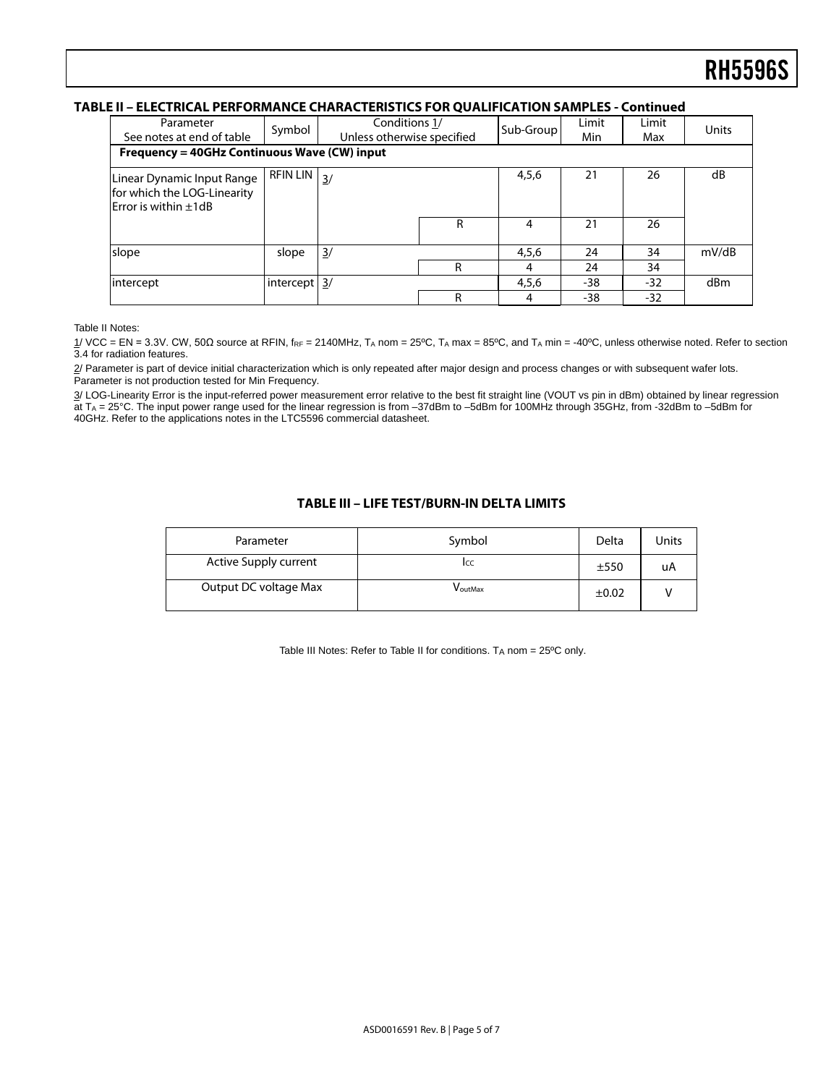#### **TABLE II – ELECTRICAL PERFORMANCE CHARACTERISTICS FOR QUALIFICATION SAMPLES - Continued**

| Parameter<br>See notes at end of table                                                 | Symbol          | Conditions 1/<br>Unless otherwise specified |   | Sub-Group | Limit<br>Min | Limit<br>Max | Units |
|----------------------------------------------------------------------------------------|-----------------|---------------------------------------------|---|-----------|--------------|--------------|-------|
| Frequency = 40GHz Continuous Wave (CW) input                                           |                 |                                             |   |           |              |              |       |
| Linear Dynamic Input Range<br>for which the LOG-Linearity<br>Error is within $\pm 1dB$ | <b>RFIN LIN</b> | $\frac{3}{2}$                               |   | 4,5,6     | 21           | 26           | dB    |
|                                                                                        |                 |                                             | R | 4         | 21           | 26           |       |
| slope                                                                                  | slope           | $\frac{3}{2}$                               |   | 4,5,6     | 24           | 34           | mV/dB |
|                                                                                        |                 |                                             | R | 4         | 24           | 34           |       |
| intercept                                                                              | intercept 3/    |                                             |   | 4,5,6     | -38          | -32          | dBm   |
|                                                                                        |                 |                                             | R | 4         | -38          | -32          |       |

Table II Notes:

 $1/$  VCC = EN = 3.3V. CW, 50Ω source at RFIN, f<sub>RF</sub> = 2140MHz, T<sub>A</sub> nom = 25<sup>o</sup>C, T<sub>A</sub> max = 85<sup>o</sup>C, and T<sub>A</sub> min = -40<sup>o</sup>C, unless otherwise noted. Refer to section 3.4 for radiation features.

2/ Parameter is part of device initial characterization which is only repeated after major design and process changes or with subsequent wafer lots. Parameter is not production tested for Min Frequency.

3/ LOG-Linearity Error is the input-referred power measurement error relative to the best fit straight line (VOUT vs pin in dBm) obtained by linear regression at TA = 25°C. The input power range used for the linear regression is from –37dBm to –5dBm for 100MHz through 35GHz, from -32dBm to –5dBm for 40GHz. Refer to the applications notes in the LTC5596 commercial datasheet.

#### **TABLE III – LIFE TEST/BURN-IN DELTA LIMITS**

| Parameter                    | Symbol  | Delta      | Units |
|------------------------------|---------|------------|-------|
| <b>Active Supply current</b> | Icc     | ±550       | uA    |
| Output DC voltage Max        | VoutMax | $\pm 0.02$ |       |

Table III Notes: Refer to Table II for conditions. TA nom = 25ºC only.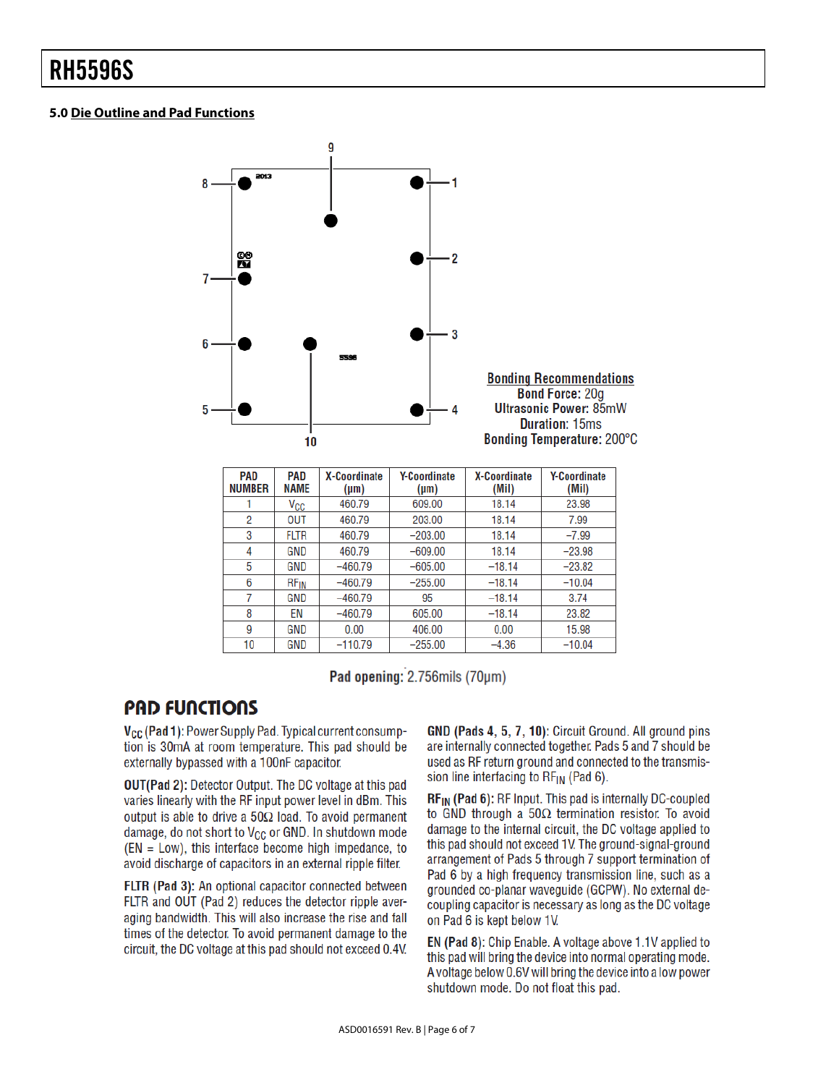## **5.0 Die Outline and Pad Functions**



| <b>PAD</b><br><b>NUMBER</b> | <b>PAD</b><br><b>NAME</b> | <b>X-Coordinate</b><br>$(\mu m)$ | <b>Y-Coordinate</b><br>$(\mu m)$ | <b>X-Coordinate</b><br>(Mil) | <b>Y-Coordinate</b><br>(Mil) |
|-----------------------------|---------------------------|----------------------------------|----------------------------------|------------------------------|------------------------------|
|                             | $V_{\rm CC}$              | 460.79                           | 609.00                           | 18.14                        | 23.98                        |
| 2                           | <b>OUT</b>                | 460.79                           | 203.00                           | 18.14                        | 7.99                         |
| 3                           | <b>FLTR</b>               | 460.79                           | $-203.00$                        | 18.14                        | $-7.99$                      |
| 4                           | GND                       | 460.79                           | $-609.00$                        | 18.14                        | $-23.98$                     |
| 5                           | <b>GND</b>                | $-460.79$                        | $-605.00$                        | $-18.14$                     | $-23.82$                     |
| 6                           | <b>RF<sub>IN</sub></b>    | $-460.79$                        | $-255.00$                        | $-18.14$                     | $-10.04$                     |
| 7                           | GND                       | $-460.79$                        | 95                               | $-18.14$                     | 3.74                         |
| 8                           | EN                        | $-460.79$                        | 605.00                           | $-18.14$                     | 23.82                        |
| 9                           | GND                       | 0.00                             | 406.00                           | 0.00                         | 15.98                        |
| 10                          | GND                       | $-110.79$                        | $-255.00$                        | $-4.36$                      | $-10.04$                     |

Pad opening: 2.756mils (70um)

# **PAD FUNCTIONS**

V<sub>CC</sub> (Pad 1): Power Supply Pad. Typical current consumption is 30mA at room temperature. This pad should be externally bypassed with a 100nF capacitor.

**OUT(Pad 2): Detector Output. The DC voltage at this pad** varies linearly with the RF input power level in dBm. This output is able to drive a  $50\Omega$  load. To avoid permanent damage, do not short to V<sub>CC</sub> or GND. In shutdown mode  $(EN = Low)$ , this interface become high impedance, to avoid discharge of capacitors in an external ripple filter.

FLTR (Pad 3): An optional capacitor connected between FLTR and OUT (Pad 2) reduces the detector ripple averaging bandwidth. This will also increase the rise and fall times of the detector. To avoid permanent damage to the circuit, the DC voltage at this pad should not exceed 0.4V. GND (Pads 4, 5, 7, 10): Circuit Ground. All ground pins are internally connected together. Pads 5 and 7 should be used as RF return ground and connected to the transmission line interfacing to RFIN (Pad 6).

RF<sub>IN</sub> (Pad 6): RF Input. This pad is internally DC-coupled to GND through a  $50\Omega$  termination resistor. To avoid damage to the internal circuit, the DC voltage applied to this pad should not exceed 1V. The ground-signal-ground arrangement of Pads 5 through 7 support termination of Pad 6 by a high frequency transmission line, such as a grounded co-planar waveguide (GCPW). No external decoupling capacitor is necessary as long as the DC voltage on Pad 6 is kept below 1V.

EN (Pad 8): Chip Enable. A voltage above 1.1V applied to this pad will bring the device into normal operating mode. A voltage below 0.6V will bring the device into a low power shutdown mode. Do not float this pad.